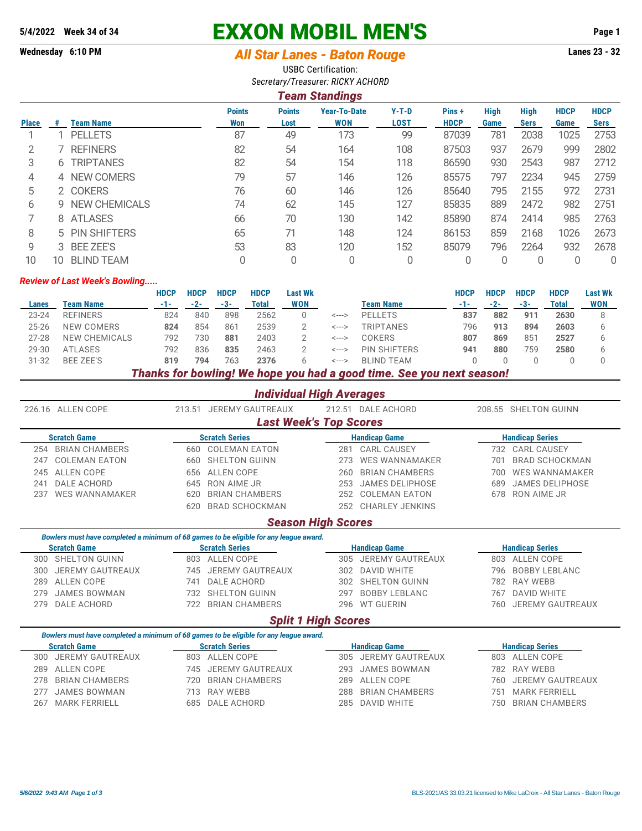# **5/4/2022 Week 34 of 34 EXXON MOBIL MEN'S Page 1**

# **Wednesday 6:10 PM** *All Star Lanes - Baton Rouge* **Lanes 23 - 32**

USBC Certification: *Secretary/Treasurer: RICKY ACHORD*

#### *Team Standings*

| <b>Place</b> | .# | <b>Team Name</b>   | <b>Points</b><br>Won | <b>Points</b><br>Lost | <b>Year-To-Date</b><br><b>WON</b> | $Y-T-D$<br><b>LOST</b> | Pins+<br><b>HDCP</b> | <b>High</b><br>Game | <b>High</b><br><b>Sers</b> | <b>HDCP</b><br>Game | <b>HDCP</b><br>Sers |
|--------------|----|--------------------|----------------------|-----------------------|-----------------------------------|------------------------|----------------------|---------------------|----------------------------|---------------------|---------------------|
|              |    | <b>PELLETS</b>     | 87                   | 49                    | 173                               | 99                     | 87039                | 781                 | 2038                       | 1025                | 2753                |
|              |    | <b>REFINERS</b>    | 82                   | 54                    | 164                               | 108                    | 87503                | 937                 | 2679                       | 999                 | 2802                |
| 3            |    | <b>6 TRIPTANES</b> | 82                   | 54                    | 154                               | 118                    | 86590                | 930                 | 2543                       | 987                 | 2712                |
| 4            |    | 4 NEW COMERS       | 79                   | 57                    | 146                               | 126                    | 85575                | 797                 | 2234                       | 945                 | 2759                |
| 5            |    | 2 COKERS           | 76                   | 60                    | 146                               | 126                    | 85640                | 795                 | 2155                       | 972                 | 2731                |
| 6            |    | 9 NEW CHEMICALS    | 74                   | 62                    | 145                               | 127                    | 85835                | 889                 | 2472                       | 982                 | 2751                |
|              |    | 8 ATLASES          | 66                   | 70                    | 130                               | 142                    | 85890                | 874                 | 2414                       | 985                 | 2763                |
| 8            |    | 5 PIN SHIFTERS     | 65                   | 71                    | 148                               | 124                    | 86153                | 859                 | 2168                       | 1026                | 2673                |
| 9            |    | 3 BEE ZEE'S        | 53                   | 83                    | 120                               | 152                    | 85079                | 796                 | 2264                       | 932                 | 2678                |
| 10           | 10 | <b>BLIND TEAM</b>  |                      | 0                     |                                   | 0                      | 0                    |                     |                            |                     | 0                   |

#### *Review of Last Week's Bowling.....*

|           |                  | <b>HDCP</b> | <b>HDCP</b> | <b>HDCP</b> | <b>HDCP</b> | <b>Last Wk</b> |       |                     | <b>HDCP</b> | <b>HDCP</b> | <b>HDCP</b>    | <b>HDCP</b> | <b>Last Wk</b> |
|-----------|------------------|-------------|-------------|-------------|-------------|----------------|-------|---------------------|-------------|-------------|----------------|-------------|----------------|
| Lanes     | Team Name        | -1-         | $-2-$       | -3-         | Total       | <b>WON</b>     |       | Team Name           | -1-         |             | -3-            | Total       | <b>WON</b>     |
| $23 - 24$ | REFINERS         | 824         | 840         | 898         | 2562        |                | <---> | <b>PELLETS</b>      | 837         | 882         | 911            | 2630        |                |
| $25 - 26$ | NEW COMERS       | 824         | 854         | 861         | 2539        |                | <---> | <b>TRIPTANES</b>    | 796         | 913         | 894            | 2603        |                |
| $27 - 28$ | NEW CHEMICALS    | 792         | 730         | 881         | 2403        |                | <---> | <b>COKERS</b>       | 807         | 869         | $85^{\degree}$ | 2527        |                |
| 29-30     | ATLASES          | 792         | 836         | 835         | 2463        |                | <---> | <b>PIN SHIFTERS</b> | 941         | 880         | 759            | 2580        |                |
| $31 - 32$ | <b>BEE ZEE'S</b> | 819         | 794         | 763         | 2376        | 6              | <---> | <b>BLIND TEAM</b>   |             |             |                |             |                |
|           |                  |             |             |             |             |                |       |                     |             |             |                |             |                |

### *Thanks for bowling! We hope you had a good time. See you next season!*

## *Individual High Averages*

| 226.16 ALLEN COPE       | <b>JEREMY GAUTREAUX</b><br>213.51                                                      |                               | 208.55 SHELTON GUINN    |  |  |  |  |
|-------------------------|----------------------------------------------------------------------------------------|-------------------------------|-------------------------|--|--|--|--|
|                         |                                                                                        | <b>Last Week's Top Scores</b> |                         |  |  |  |  |
| <b>Scratch Game</b>     | <b>Scratch Series</b>                                                                  | <b>Handicap Game</b>          | <b>Handicap Series</b>  |  |  |  |  |
| <b>BRIAN CHAMBERS</b>   | <b>COLEMAN EATON</b>                                                                   | <b>CARL CAUSEY</b>            | <b>CARL CAUSEY</b>      |  |  |  |  |
| 254                     | 660                                                                                    | 281                           | 732                     |  |  |  |  |
| <b>COLEMAN EATON</b>    | <b>SHELTON GUINN</b>                                                                   | <b>WES WANNAMAKER</b>         | <b>BRAD SCHOCKMAN</b>   |  |  |  |  |
| 247                     | 660                                                                                    | 273                           | 701                     |  |  |  |  |
| <b>ALLEN COPE</b>       | ALLEN COPE                                                                             | <b>BRIAN CHAMBERS</b>         | <b>WES WANNAMAKER</b>   |  |  |  |  |
| 245                     | 656                                                                                    | 260                           | 700                     |  |  |  |  |
| DALE ACHORD             | RON AIME JR                                                                            | <b>JAMES DELIPHOSE</b>        | <b>JAMES DELIPHOSE</b>  |  |  |  |  |
| 241                     | 645                                                                                    | 253                           | 689                     |  |  |  |  |
| <b>WES WANNAMAKER</b>   | <b>BRIAN CHAMBERS</b>                                                                  | <b>COLEMAN EATON</b>          | RON AIME JR             |  |  |  |  |
| 237                     | 620                                                                                    | 252                           | 678                     |  |  |  |  |
|                         | <b>BRAD SCHOCKMAN</b><br>620                                                           | CHARLEY JENKINS<br>252        |                         |  |  |  |  |
|                         |                                                                                        | <b>Season High Scores</b>     |                         |  |  |  |  |
|                         | Bowlers must have completed a minimum of 68 games to be eligible for any league award. |                               |                         |  |  |  |  |
| <b>Scratch Game</b>     | <b>Scratch Series</b>                                                                  | <b>Handicap Game</b>          | <b>Handicap Series</b>  |  |  |  |  |
| SHELTON GUINN           | <b>ALLEN COPE</b>                                                                      | JEREMY GAUTREAUX              | ALLEN COPE              |  |  |  |  |
| 300                     | 803                                                                                    | 305                           | 803                     |  |  |  |  |
| <b>JEREMY GAUTREAUX</b> | <b>JEREMY GAUTREAUX</b>                                                                | DAVID WHITE                   | <b>BOBBY LEBLANC</b>    |  |  |  |  |
| 300                     | 745                                                                                    | 302                           | 796                     |  |  |  |  |
| <b>ALLEN COPE</b>       | DALE ACHORD                                                                            | <b>SHELTON GUINN</b>          | RAY WEBB                |  |  |  |  |
| 289                     | 741                                                                                    | 302                           | 782                     |  |  |  |  |
| <b>JAMES BOWMAN</b>     | SHELTON GUINN                                                                          | <b>BOBBY LEBLANC</b>          | <b>DAVID WHITE</b>      |  |  |  |  |
| 279                     | 732                                                                                    | 297                           | 767                     |  |  |  |  |
| DALE ACHORD             | <b>BRIAN CHAMBERS</b>                                                                  | <b>WT GUERIN</b>              | <b>JEREMY GAUTREAUX</b> |  |  |  |  |
| 279                     | 722                                                                                    | 296                           | 760                     |  |  |  |  |
|                         |                                                                                        |                               |                         |  |  |  |  |

# *Split 1 High Scores*

#### *Bowlers must have completed a minimum of 68 games to be eligible for any league award.*

| <b>Scratch Game</b> |                      | <b>Scratch Series</b> | <b>Handicap Game</b> | <b>Handicap Series</b> |                      |  |  |
|---------------------|----------------------|-----------------------|----------------------|------------------------|----------------------|--|--|
|                     | 300 JEREMY GAUTREAUX | 803 ALLEN COPE        | 305 JEREMY GAUTREAUX |                        | 803 ALLEN COPE       |  |  |
|                     | 289 ALLEN COPE       | 745 JEREMY GAUTREAUX  | 293 JAMES BOWMAN     |                        | 782 RAY WEBB         |  |  |
|                     | 278 BRIAN CHAMBERS   | 720 BRIAN CHAMBERS    | 289 ALLEN COPE       |                        | 760 JEREMY GAUTREAUX |  |  |
|                     | 277 JAMES BOWMAN     | 713 RAY WEBB          | 288 BRIAN CHAMBERS   | /51                    | MARK FERRIELL        |  |  |
|                     | 267 MARK FERRIELL    | 685 DALE ACHORD       | 285 DAVID WHITE      |                        | 750 BRIAN CHAMBERS   |  |  |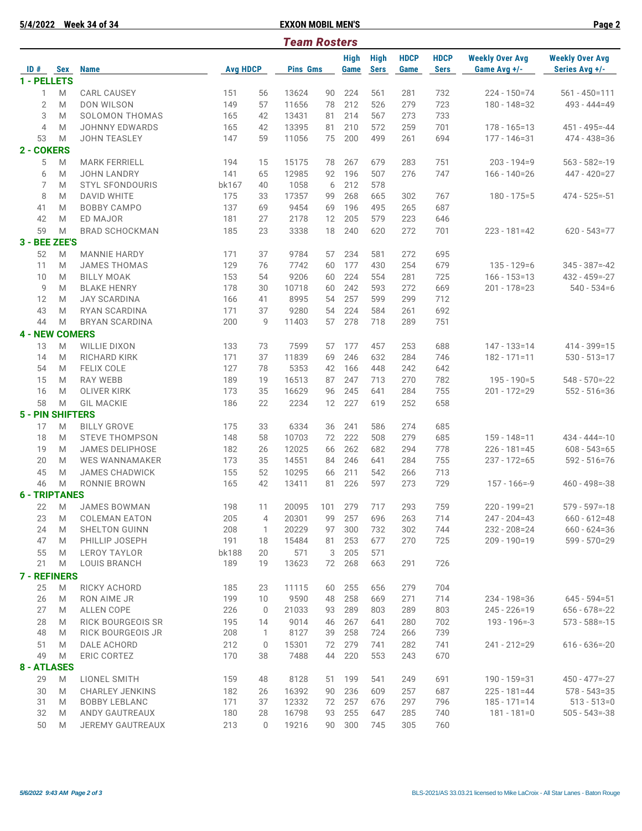**5/4/2022 Week 34 of 34 EXXON MOBIL MEN'S Page 2**

| <b>Team Rosters</b> |                          |                                            |                     |             |                   |          |             |             |             |             |                        |                        |
|---------------------|--------------------------|--------------------------------------------|---------------------|-------------|-------------------|----------|-------------|-------------|-------------|-------------|------------------------|------------------------|
|                     |                          |                                            |                     |             |                   |          | <b>High</b> | <b>High</b> | <b>HDCP</b> | <b>HDCP</b> | <b>Weekly Over Avg</b> | <b>Weekly Over Avg</b> |
|                     | $ID#$ Sex<br>1 - PELLETS | <b>Name</b>                                | <b>Avg HDCP</b>     |             | <b>Pins Gms</b>   |          | Game        | <b>Sers</b> | Game        | <b>Sers</b> | Game Avg +/-           | Series Avg +/-         |
| 1                   | M                        | <b>CARL CAUSEY</b>                         | 151                 | 56          | 13624             | 90       | 224         | 561         | 281         | 732         | $224 - 150 = 74$       | $561 - 450 = 111$      |
| $\overline{2}$      | M                        | DON WILSON                                 | 149                 | 57          | 11656             | 78       | 212         | 526         | 279         | 723         | $180 - 148 = 32$       | $493 - 444 = 49$       |
| 3                   | M                        | SOLOMON THOMAS                             | 165                 | 42          | 13431             | 81       | 214         | 567         | 273         | 733         |                        |                        |
| $\overline{4}$      | M                        | <b>JOHNNY EDWARDS</b>                      | 165                 | 42          | 13395             | 81       | 210         | 572         | 259         | 701         | $178 - 165 = 13$       | $451 - 495 = -44$      |
| 53                  | M                        | <b>JOHN TEASLEY</b>                        | 147                 | 59          | 11056             | 75       | 200         | 499         | 261         | 694         | $177 - 146 = 31$       | $474 - 438 = 36$       |
| 2 - COKERS          |                          |                                            |                     |             |                   |          |             |             |             |             |                        |                        |
| 5                   | M                        | <b>MARK FERRIELL</b>                       | 194                 | 15          | 15175             | 78       | 267         | 679         | 283         | 751         | $203 - 194 = 9$        | $563 - 582 = -19$      |
| 6                   | M                        | <b>JOHN LANDRY</b>                         | 141                 | 65          | 12985             | 92       | 196         | 507         | 276         | 747         | $166 - 140 = 26$       | 447 - 420=27           |
| 7                   | M                        | <b>STYL SFONDOURIS</b>                     | bk167               | 40          | 1058              | 6        | 212         | 578         |             |             |                        |                        |
| 8                   | M                        | <b>DAVID WHITE</b>                         | 175                 | 33          | 17357             | 99       | 268         | 665         | 302         | 767         | $180 - 175 = 5$        | $474 - 525 = -51$      |
| 41                  | M                        | <b>BOBBY CAMPO</b>                         | 137                 | 69          | 9454              | 69       | 196         | 495         | 265         | 687         |                        |                        |
| 42                  | M                        | ED MAJOR                                   | 181                 | 27          | 2178              | 12       | 205         | 579         | 223         | 646         |                        |                        |
| 59                  | M                        | <b>BRAD SCHOCKMAN</b>                      | 185                 | 23          | 3338              | 18       | 240         | 620         | 272         | 701         | $223 - 181 = 42$       | $620 - 543 = 77$       |
|                     | 3 - BEE ZEE'S            |                                            |                     |             |                   |          |             |             |             |             |                        |                        |
| 52                  | M                        | <b>MANNIE HARDY</b>                        | 171                 | 37          | 9784              | 57       | 234         | 581         | 272         | 695         |                        |                        |
| 11                  | M                        | <b>JAMES THOMAS</b>                        | 129                 | 76          | 7742              | 60       | 177         | 430         | 254         | 679         | $135 - 129 = 6$        | $345 - 387 = -42$      |
| 10                  | M                        | <b>BILLY MOAK</b>                          | 153                 | 54          | 9206              | 60       | 224         | 554         | 281         | 725         | $166 - 153 = 13$       | $432 - 459 = -27$      |
| 9                   | M                        | <b>BLAKE HENRY</b>                         | 178                 | 30          | 10718             | 60       | 242         | 593         | 272         | 669         | 201 - 178=23           | $540 - 534 = 6$        |
| 12                  | M                        | <b>JAY SCARDINA</b>                        | 166                 | 41          | 8995              | 54       | 257         | 599         | 299         | 712         |                        |                        |
| 43                  | M                        | RYAN SCARDINA                              | 171                 | 37          | 9280              | 54       | 224         | 584         | 261         | 692         |                        |                        |
| 44                  | M                        | <b>BRYAN SCARDINA</b>                      | 200                 | 9           | 11403             | 57       | 278         | 718         | 289         | 751         |                        |                        |
|                     | <b>4 - NEW COMERS</b>    |                                            |                     |             |                   |          |             |             |             |             |                        |                        |
| 13                  | M                        | <b>WILLIE DIXON</b>                        | 133                 | 73          | 7599              | 57       | 177         | 457         | 253         | 688         | $147 - 133 = 14$       | $414 - 399 = 15$       |
| 14                  | M                        | RICHARD KIRK                               | 171                 | 37          | 11839             | 69       | 246         | 632         | 284         | 746         | $182 - 171 = 11$       | $530 - 513 = 17$       |
| 54                  | M                        | <b>FELIX COLE</b>                          | 127                 | 78          | 5353              | 42       | 166         | 448         | 242         | 642         |                        |                        |
| 15                  | M                        | <b>RAY WEBB</b>                            | 189                 | 19          | 16513             | 87       | 247         | 713         | 270         | 782         | $195 - 190 = 5$        | $548 - 570 = -22$      |
| 16                  | M                        | <b>OLIVER KIRK</b>                         | 173                 | 35          | 16629             | 96       | 245         | 641         | 284         | 755         | $201 - 172 = 29$       | $552 - 516 = 36$       |
| 58                  | M                        | <b>GIL MACKIE</b>                          | 186                 | 22          | 2234              | 12       | 227         | 619         | 252         | 658         |                        |                        |
|                     | <b>5 - PIN SHIFTERS</b>  |                                            |                     |             |                   |          |             |             |             |             |                        |                        |
| 17                  | M                        | <b>BILLY GROVE</b>                         | 175                 | 33          | 6334              | 36       | 241         | 586         | 274         | 685         |                        |                        |
| 18                  | M                        | <b>STEVE THOMPSON</b>                      | 148                 | 58          | 10703             | 72       | 222         | 508         | 279         | 685         | $159 - 148 = 11$       | $434 - 444 = -10$      |
| 19                  | M                        | <b>JAMES DELIPHOSE</b>                     | 182                 | 26          | 12025             | 66       | 262         | 682         | 294         | 778         | $226 - 181 = 45$       | $608 - 543 = 65$       |
| 20                  | M                        | <b>WES WANNAMAKER</b>                      | 173                 | 35          | 14551             | 84       | 246         | 641         | 284         | 755         | $237 - 172 = 65$       | $592 - 516 = 76$       |
| 45                  | M                        | <b>JAMES CHADWICK</b>                      | 155                 | 52          | 10295             | 66       | 211         | 542         | 266         | 713         |                        |                        |
| 46                  | M                        | RONNIE BROWN                               | 165                 | 42          | 13411             | 81       | 226         | 597         | 273         | 729         | $157 - 166 = -9$       | $460 - 498 = -38$      |
|                     | <b>6 - TRIPTANES</b>     |                                            |                     |             |                   |          |             |             |             |             |                        |                        |
| 22                  | M                        | JAMES BOWMAN                               | 198                 | 11          | 20095 101 279 717 |          |             |             | 293         | 759         | $220 - 199 = 21$       | $579 - 597 = -18$      |
| 23                  | M                        | <b>COLEMAN EATON</b>                       | 205                 | 4           | 20301             | 99       | 257         | 696         | 263         | 714         | 247 - 204=43           | $660 - 612 = 48$       |
| 24                  | M                        | SHELTON GUINN                              | 208                 | 1           | 20229             | 97       | 300         | 732         | 302         | 744         | $232 - 208 = 24$       | $660 - 624 = 36$       |
| 47                  | M                        | PHILLIP JOSEPH                             | 191                 | 18          | 15484             | 81       | 253         | 677         | 270         | 725         | 209 - 190=19           | 599 - 570=29           |
| 55<br>21            | M                        | <b>LEROY TAYLOR</b><br><b>LOUIS BRANCH</b> | <b>bk188</b><br>189 | 20<br>19    | 571<br>13623      | 3<br>72  | 205<br>268  | 571<br>663  | 291         | 726         |                        |                        |
|                     | M                        |                                            |                     |             |                   |          |             |             |             |             |                        |                        |
|                     | <b>7 - REFINERS</b>      |                                            |                     |             |                   |          |             |             |             |             |                        |                        |
| 25                  | M                        | RICKY ACHORD                               | 185                 | 23          | 11115             | 60       | 255         | 656         | 279         | 704         | $234 - 198 = 36$       | $645 - 594 = 51$       |
| 26<br>27            | M<br>M                   | RON AIME JR<br>ALLEN COPE                  | 199<br>226          | 10<br>0     | 9590<br>21033     | 48<br>93 | 258<br>289  | 669<br>803  | 271<br>289  | 714<br>803  | $245 - 226 = 19$       | $656 - 678 = -22$      |
| 28                  | M                        | <b>RICK BOURGEOIS SR</b>                   | 195                 | 14          | 9014              | 46       | 267         | 641         | 280         | 702         | $193 - 196 = -3$       | $573 - 588 = -15$      |
| 48                  | M                        | RICK BOURGEOIS JR                          | 208                 | 1           | 8127              | 39       | 258         | 724         | 266         | 739         |                        |                        |
| 51                  | M                        | DALE ACHORD                                | 212                 | $\mathbf 0$ | 15301             | 72       | 279         | 741         | 282         | 741         | 241 - 212=29           | $616 - 636 = -20$      |
| 49                  | M                        | ERIC CORTEZ                                | 170                 | 38          | 7488              | 44       | 220         | 553         | 243         | 670         |                        |                        |
|                     | <b>8 - ATLASES</b>       |                                            |                     |             |                   |          |             |             |             |             |                        |                        |
| 29                  | M                        | LIONEL SMITH                               | 159                 | 48          | 8128              | 51       | 199         | 541         | 249         | 691         | $190 - 159 = 31$       | $450 - 477 = -27$      |
| 30                  | M                        | <b>CHARLEY JENKINS</b>                     | 182                 | 26          | 16392             | 90       | 236         | 609         | 257         | 687         | $225 - 181 = 44$       | $578 - 543 = 35$       |
| 31                  | M                        | <b>BOBBY LEBLANC</b>                       | 171                 | 37          | 12332             | 72       | 257         | 676         | 297         | 796         | $185 - 171 = 14$       | $513 - 513 = 0$        |
| 32                  | M                        | ANDY GAUTREAUX                             | 180                 | 28          | 16798             | 93       | 255         | 647         | 285         | 740         | $181 - 181 = 0$        | $505 - 543 = -38$      |
| 50                  | M                        | JEREMY GAUTREAUX                           | 213                 | $\mathbf 0$ | 19216             | 90       | 300         | 745         | 305         | 760         |                        |                        |
|                     |                          |                                            |                     |             |                   |          |             |             |             |             |                        |                        |